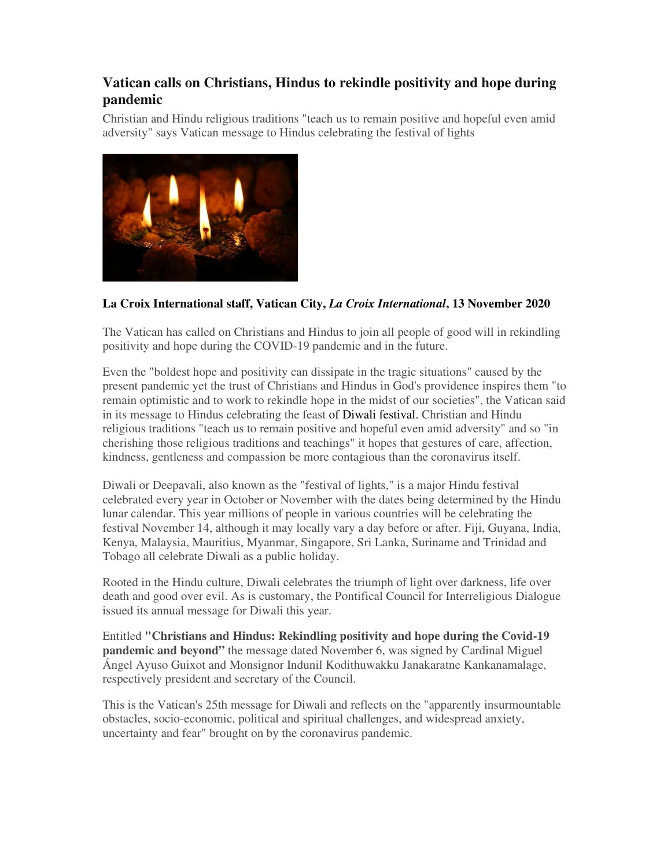## **Vatican calls on Christians, Hindus to rekindle positivity and hope during pandemic**

Christian and Hindu religious traditions "teach us to remain positive and hopeful even amid adversity" says Vatican message to Hindus celebrating the festival of lights



## **La Croix International staff, Vatican City,** *La Croix International***, 13 November 2020**

The Vatican has called on Christians and Hindus to join all people of good will in rekindling positivity and hope during the COVID-19 pandemic and in the future.

Even the "boldest hope and positivity can dissipate in the tragic situations" caused by the present pandemic yet the trust of Christians and Hindus in God's providence inspires them "to remain optimistic and to work to rekindle hope in the midst of our societies", the Vatican said in its message to Hindus celebrating the feast of Diwali festival. Christian and Hindu religious traditions "teach us to remain positive and hopeful even amid adversity" and so "in cherishing those religious traditions and teachings" it hopes that gestures of care, affection, kindness, gentleness and compassion be more contagious than the coronavirus itself.

Diwali or Deepavali, also known as the "festival of lights," is a major Hindu festival celebrated every year in October or November with the dates being determined by the Hindu lunar calendar. This year millions of people in various countries will be celebrating the festival November 14, although it may locally vary a day before or after. Fiji, Guyana, India, Kenya, Malaysia, Mauritius, Myanmar, Singapore, Sri Lanka, Suriname and Trinidad and Tobago all celebrate Diwali as a public holiday.

Rooted in the Hindu culture, Diwali celebrates the triumph of light over darkness, life over death and good over evil. As is customary, the Pontifical Council for Interreligious Dialogue issued its annual message for Diwali this year.

Entitled **"Christians and Hindus: Rekindling positivity and hope during the Covid-19 pandemic and beyond"** the message dated November 6, was signed by Cardinal Miguel Ángel Ayuso Guixot and Monsignor Indunil Kodithuwakku Janakaratne Kankanamalage, respectively president and secretary of the Council.

This is the Vatican's 25th message for Diwali and reflects on the "apparently insurmountable obstacles, socio-economic, political and spiritual challenges, and widespread anxiety, uncertainty and fear" brought on by the coronavirus pandemic.